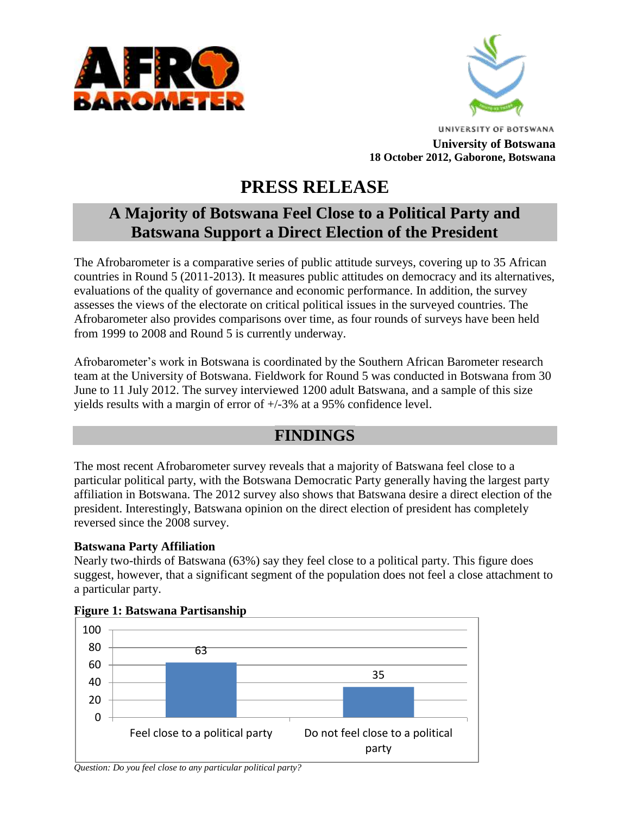



**UNIVERSITY OF BOTSWANA University of Botswana 18 October 2012, Gaborone, Botswana**

# **PRESS RELEASE**

## **A Majority of Botswana Feel Close to a Political Party and Batswana Support a Direct Election of the President**

The Afrobarometer is a comparative series of public attitude surveys, covering up to 35 African countries in Round 5 (2011-2013). It measures public attitudes on democracy and its alternatives, evaluations of the quality of governance and economic performance. In addition, the survey assesses the views of the electorate on critical political issues in the surveyed countries. The Afrobarometer also provides comparisons over time, as four rounds of surveys have been held from 1999 to 2008 and Round 5 is currently underway.

Afrobarometer's work in Botswana is coordinated by the Southern African Barometer research team at the University of Botswana. Fieldwork for Round 5 was conducted in Botswana from 30 June to 11 July 2012. The survey interviewed 1200 adult Batswana, and a sample of this size yields results with a margin of error of +/-3% at a 95% confidence level.

### **FINDINGS**

The most recent Afrobarometer survey reveals that a majority of Batswana feel close to a particular political party, with the Botswana Democratic Party generally having the largest party affiliation in Botswana. The 2012 survey also shows that Batswana desire a direct election of the president. Interestingly, Batswana opinion on the direct election of president has completely reversed since the 2008 survey.

#### **Batswana Party Affiliation**

Nearly two-thirds of Batswana (63%) say they feel close to a political party. This figure does suggest, however, that a significant segment of the population does not feel a close attachment to a particular party.



#### **Figure 1: Batswana Partisanship**

*Question: Do you feel close to any particular political party?*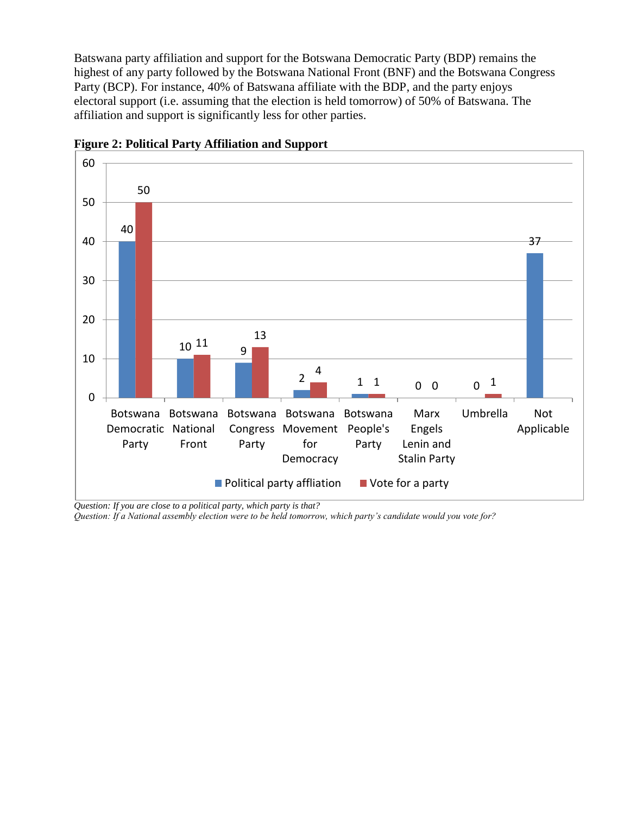Batswana party affiliation and support for the Botswana Democratic Party (BDP) remains the highest of any party followed by the Botswana National Front (BNF) and the Botswana Congress Party (BCP). For instance, 40% of Batswana affiliate with the BDP, and the party enjoys electoral support (i.e. assuming that the election is held tomorrow) of 50% of Batswana. The affiliation and support is significantly less for other parties.



**Figure 2: Political Party Affiliation and Support**

*Question: If you are close to a political party, which party is that?*

*Question: If a National assembly election were to be held tomorrow, which party's candidate would you vote for?*